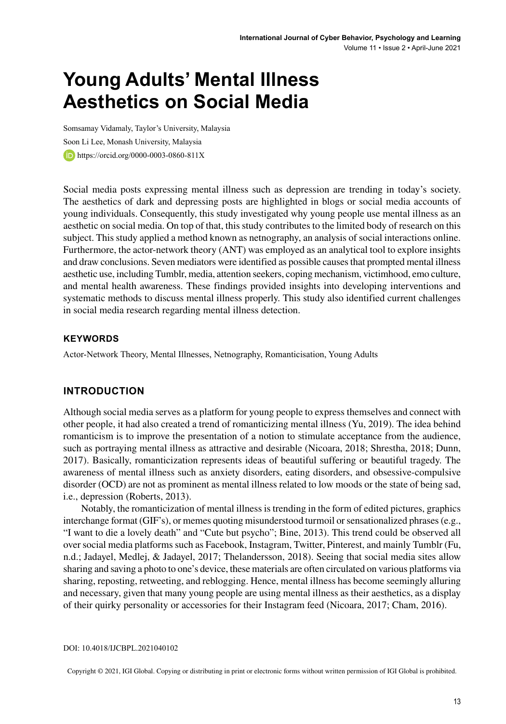# **Young Adults' Mental Illness Aesthetics on Social Media**

Somsamay Vidamaly, Taylor's University, Malaysia Soon Li Lee, Monash University, Malaysia https://orcid.org/0000-0003-0860-811X

Social media posts expressing mental illness such as depression are trending in today's society. The aesthetics of dark and depressing posts are highlighted in blogs or social media accounts of young individuals. Consequently, this study investigated why young people use mental illness as an aesthetic on social media. On top of that, this study contributes to the limited body of research on this subject. This study applied a method known as netnography, an analysis of social interactions online. Furthermore, the actor-network theory (ANT) was employed as an analytical tool to explore insights and draw conclusions. Seven mediators were identified as possible causesthat prompted mental illness aesthetic use, including Tumblr, media, attention seekers, coping mechanism, victimhood, emo culture, and mental health awareness. These findings provided insights into developing interventions and systematic methods to discuss mental illness properly. This study also identified current challenges in social media research regarding mental illness detection.

#### **Keywords**

Actor-Network Theory, Mental Illnesses, Netnography, Romanticisation, Young Adults

#### **INTRODUCTION**

Although social media serves as a platform for young people to express themselves and connect with other people, it had also created a trend of romanticizing mental illness (Yu, 2019). The idea behind romanticism is to improve the presentation of a notion to stimulate acceptance from the audience, such as portraying mental illness as attractive and desirable (Nicoara, 2018; Shrestha, 2018; Dunn, 2017). Basically, romanticization represents ideas of beautiful suffering or beautiful tragedy. The awareness of mental illness such as anxiety disorders, eating disorders, and obsessive-compulsive disorder (OCD) are not as prominent as mental illness related to low moods or the state of being sad, i.e., depression (Roberts, 2013).

Notably, the romanticization of mental illness is trending in the form of edited pictures, graphics interchange format (GIF's), or memes quoting misunderstood turmoil orsensationalized phrases(e.g., "I want to die a lovely death" and "Cute but psycho"; Bine, 2013). This trend could be observed all over social media platforms such as Facebook, Instagram, Twitter, Pinterest, and mainly Tumblr (Fu, n.d.; Jadayel, Medlej, & Jadayel, 2017; Thelandersson, 2018). Seeing that social media sites allow sharing and saving a photo to one's device, these materials are often circulated on various platforms via sharing, reposting, retweeting, and reblogging. Hence, mental illness has become seemingly alluring and necessary, given that many young people are using mental illness as their aesthetics, as a display of their quirky personality or accessories for their Instagram feed (Nicoara, 2017; Cham, 2016).

DOI: 10.4018/IJCBPL.2021040102

Copyright © 2021, IGI Global. Copying or distributing in print or electronic forms without written permission of IGI Global is prohibited.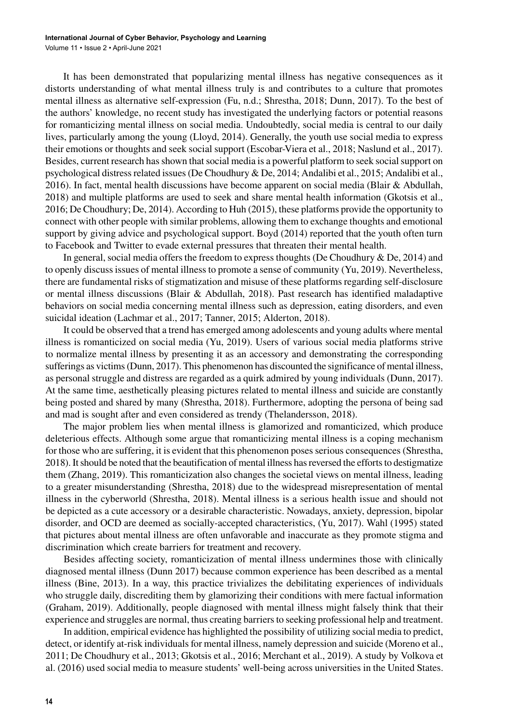It has been demonstrated that popularizing mental illness has negative consequences as it distorts understanding of what mental illness truly is and contributes to a culture that promotes mental illness as alternative self-expression (Fu, n.d.; Shrestha, 2018; Dunn, 2017). To the best of the authors' knowledge, no recent study has investigated the underlying factors or potential reasons for romanticizing mental illness on social media. Undoubtedly, social media is central to our daily lives, particularly among the young (Lloyd, 2014). Generally, the youth use social media to express their emotions or thoughts and seek social support (Escobar-Viera et al., 2018; Naslund et al., 2017). Besides, current research has shown that social media is a powerful platform to seek social support on psychological distressrelated issues(De Choudhury & De, 2014; Andalibi et al., 2015; Andalibi et al., 2016). In fact, mental health discussions have become apparent on social media (Blair & Abdullah, 2018) and multiple platforms are used to seek and share mental health information (Gkotsis et al., 2016; De Choudhury; De, 2014). According to Huh (2015), these platforms provide the opportunity to connect with other people with similar problems, allowing them to exchange thoughts and emotional support by giving advice and psychological support. Boyd (2014) reported that the youth often turn to Facebook and Twitter to evade external pressures that threaten their mental health.

In general, social media offers the freedom to express thoughts (De Choudhury & De, 2014) and to openly discuss issues of mental illness to promote a sense of community (Yu, 2019). Nevertheless, there are fundamental risks of stigmatization and misuse of these platforms regarding self-disclosure or mental illness discussions (Blair & Abdullah, 2018). Past research has identified maladaptive behaviors on social media concerning mental illness such as depression, eating disorders, and even suicidal ideation (Lachmar et al., 2017; Tanner, 2015; Alderton, 2018).

It could be observed that a trend has emerged among adolescents and young adults where mental illness is romanticized on social media (Yu, 2019). Users of various social media platforms strive to normalize mental illness by presenting it as an accessory and demonstrating the corresponding sufferings as victims(Dunn, 2017). This phenomenon has discounted the significance of mental illness, as personal struggle and distress are regarded as a quirk admired by young individuals (Dunn, 2017). At the same time, aesthetically pleasing pictures related to mental illness and suicide are constantly being posted and shared by many (Shrestha, 2018). Furthermore, adopting the persona of being sad and mad is sought after and even considered as trendy (Thelandersson, 2018).

The major problem lies when mental illness is glamorized and romanticized, which produce deleterious effects. Although some argue that romanticizing mental illness is a coping mechanism for those who are suffering, it is evident that this phenomenon poses serious consequences (Shrestha, 2018). It should be noted that the beautification of mental illness has reversed the efforts to destigmatize them (Zhang, 2019). This romanticization also changes the societal views on mental illness, leading to a greater misunderstanding (Shrestha, 2018) due to the widespread misrepresentation of mental illness in the cyberworld (Shrestha, 2018). Mental illness is a serious health issue and should not be depicted as a cute accessory or a desirable characteristic. Nowadays, anxiety, depression, bipolar disorder, and OCD are deemed as socially-accepted characteristics, (Yu, 2017). Wahl (1995) stated that pictures about mental illness are often unfavorable and inaccurate as they promote stigma and discrimination which create barriers for treatment and recovery.

Besides affecting society, romanticization of mental illness undermines those with clinically diagnosed mental illness (Dunn 2017) because common experience has been described as a mental illness (Bine, 2013). In a way, this practice trivializes the debilitating experiences of individuals who struggle daily, discrediting them by glamorizing their conditions with mere factual information (Graham, 2019). Additionally, people diagnosed with mental illness might falsely think that their experience and struggles are normal, thus creating barriersto seeking professional help and treatment.

In addition, empirical evidence has highlighted the possibility of utilizing social media to predict, detect, or identify at-risk individuals for mental illness, namely depression and suicide (Moreno et al., 2011; De Choudhury et al., 2013; Gkotsis et al., 2016; Merchant et al., 2019). A study by Volkova et al. (2016) used social media to measure students' well-being across universities in the United States.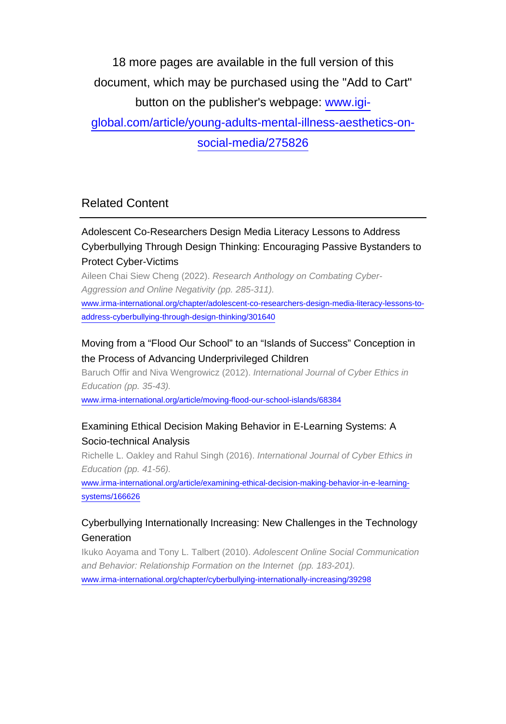18 more pages are available in the full version of this document, which may be purchased using the "Add to Cart" button on the publisher's webpage: [www.igi-](http://www.igi-global.com/article/young-adults-mental-illness-aesthetics-on-social-media/275826)

[global.com/article/young-adults-mental-illness-aesthetics-on-](http://www.igi-global.com/article/young-adults-mental-illness-aesthetics-on-social-media/275826)

[social-media/275826](http://www.igi-global.com/article/young-adults-mental-illness-aesthetics-on-social-media/275826)

## Related Content

### Adolescent Co-Researchers Design Media Literacy Lessons to Address Cyberbullying Through Design Thinking: Encouraging Passive Bystanders to Protect Cyber-Victims

Aileen Chai Siew Cheng (2022). Research Anthology on Combating Cyber-Aggression and Online Negativity (pp. 285-311).

[www.irma-international.org/chapter/adolescent-co-researchers-design-media-literacy-lessons-to](http://www.irma-international.org/chapter/adolescent-co-researchers-design-media-literacy-lessons-to-address-cyberbullying-through-design-thinking/301640)[address-cyberbullying-through-design-thinking/301640](http://www.irma-international.org/chapter/adolescent-co-researchers-design-media-literacy-lessons-to-address-cyberbullying-through-design-thinking/301640)

#### Moving from a "Flood Our School" to an "Islands of Success" Conception in the Process of Advancing Underprivileged Children

Baruch Offir and Niva Wengrowicz (2012). International Journal of Cyber Ethics in Education (pp. 35-43).

[www.irma-international.org/article/moving-flood-our-school-islands/68384](http://www.irma-international.org/article/moving-flood-our-school-islands/68384)

#### Examining Ethical Decision Making Behavior in E-Learning Systems: A Socio-technical Analysis

Richelle L. Oakley and Rahul Singh (2016). International Journal of Cyber Ethics in Education (pp. 41-56).

[www.irma-international.org/article/examining-ethical-decision-making-behavior-in-e-learning](http://www.irma-international.org/article/examining-ethical-decision-making-behavior-in-e-learning-systems/166626)[systems/166626](http://www.irma-international.org/article/examining-ethical-decision-making-behavior-in-e-learning-systems/166626)

#### Cyberbullying Internationally Increasing: New Challenges in the Technology Generation

Ikuko Aoyama and Tony L. Talbert (2010). Adolescent Online Social Communication and Behavior: Relationship Formation on the Internet (pp. 183-201). [www.irma-international.org/chapter/cyberbullying-internationally-increasing/39298](http://www.irma-international.org/chapter/cyberbullying-internationally-increasing/39298)